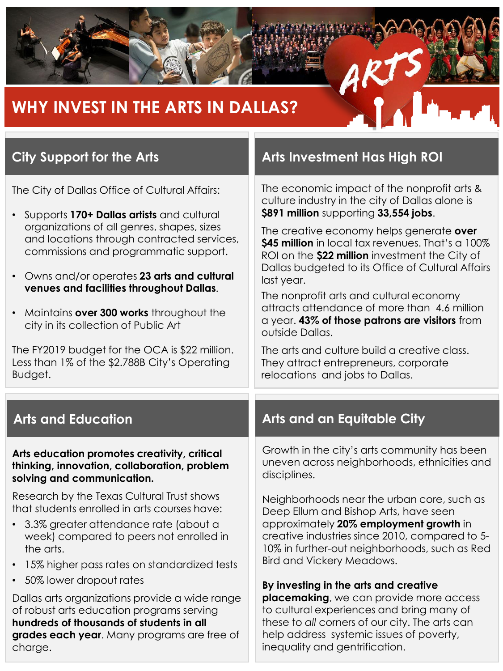

# **WHY INVEST IN THE ARTS IN DALLAS?**

The City of Dallas Office of Cultural Affairs:

- Supports **170+ Dallas artists** and cultural organizations of all genres, shapes, sizes and locations through contracted services, commissions and programmatic support.
- Owns and/or operates **23 arts and cultural venues and facilities throughout Dallas**.
- Maintains **over 300 works** throughout the city in its collection of Public Art

The FY2019 budget for the OCA is \$22 million. Less than 1% of the \$2.788B City's Operating Budget.

**Arts education promotes creativity, critical thinking, innovation, collaboration, problem solving and communication.** 

Research by the Texas Cultural Trust shows that students enrolled in arts courses have:

- 3.3% greater attendance rate (about a week) compared to peers not enrolled in the arts.
- 15% higher pass rates on standardized tests
- 50% lower dropout rates

Dallas arts organizations provide a wide range of robust arts education programs serving **hundreds of thousands of students in all grades each year**. Many programs are free of charge.

### **City Support for the Arts <b>Arts Arts** Investment Has High ROI

The economic impact of the nonprofit arts & culture industry in the city of Dallas alone is **\$891 million** supporting **33,554 jobs**.

The creative economy helps generate **over \$45 million** in local tax revenues. That's a 100% ROI on the **\$22 million** investment the City of Dallas budgeted to its Office of Cultural Affairs last year.

The nonprofit arts and cultural economy attracts attendance of more than 4.6 million a year. **43% of those patrons are visitors** from outside Dallas.

The arts and culture build a creative class. They attract entrepreneurs, corporate relocations and jobs to Dallas.

### **Arts and Education Arts and an Equitable City**

Growth in the city's arts community has been uneven across neighborhoods, ethnicities and disciplines.

Neighborhoods near the urban core, such as Deep Ellum and Bishop Arts, have seen approximately **20% employment growth** in creative industries since 2010, compared to 5- 10% in further-out neighborhoods, such as Red Bird and Vickery Meadows.

#### **By investing in the arts and creative**

**placemaking**, we can provide more access to cultural experiences and bring many of these to *all* corners of our city. The arts can help address systemic issues of poverty, inequality and gentrification.